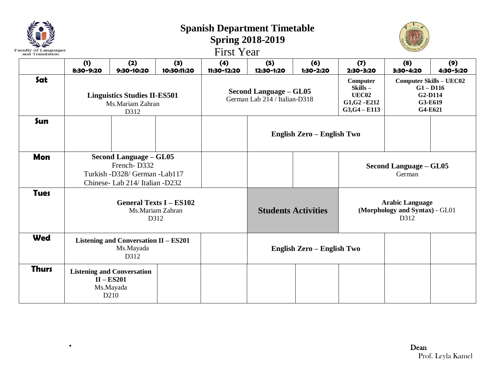| <b>Faculty of Languages</b><br>and Translation |                                                                 |                                                                                                                  |                    | <b>First Year</b>                                              | <b>Spanish Department Timetable</b><br><b>Spring 2018-2019</b> |                            |                                                                           |                                                                                |                  |  |
|------------------------------------------------|-----------------------------------------------------------------|------------------------------------------------------------------------------------------------------------------|--------------------|----------------------------------------------------------------|----------------------------------------------------------------|----------------------------|---------------------------------------------------------------------------|--------------------------------------------------------------------------------|------------------|--|
|                                                | (1)<br>8:30-9:20                                                | (2)<br>9:30-10:20                                                                                                | (3)<br>10:30:11:20 | (4)<br>11:30-12:20                                             | (5)<br>12:30-1:20                                              | (6)<br>1:30-2:20           | (7)<br>2:30-3:20                                                          | (8)<br>3:30-4:20                                                               | (9)<br>4:30-5:20 |  |
| Sat                                            | <b>Linguistics Studies II-ES501</b><br>Ms.Mariam Zahran<br>D312 |                                                                                                                  |                    | <b>Second Language - GL05</b><br>German Lab 214 / Italian-D318 |                                                                |                            | Computer<br>Skills-<br><b>UEC02</b><br>$G1, G2 - E212$<br>$G3, G4 - E113$ | <b>Computer Skills - UEC02</b><br>$G1 - D116$<br>G2-D114<br>G3-E619<br>G4-E621 |                  |  |
| Sun                                            |                                                                 |                                                                                                                  |                    |                                                                |                                                                | English Zero - English Two |                                                                           |                                                                                |                  |  |
| <b>Mon</b>                                     |                                                                 | <b>Second Language - GL05</b><br>French-D332<br>Turkish -D328/ German -Lab117<br>Chinese- Lab 214/ Italian -D232 |                    |                                                                |                                                                |                            | Second Language – GL05<br>German                                          |                                                                                |                  |  |
| <b>Tues</b>                                    |                                                                 | <b>General Texts I - ES102</b><br>Ms.Mariam Zahran<br>D312                                                       |                    |                                                                | <b>Students Activities</b>                                     |                            | <b>Arabic Language</b><br>(Morphology and Syntax) - GL01<br>D312          |                                                                                |                  |  |
| <b>Wed</b>                                     |                                                                 | Listening and Conversation II - ES201<br>Ms.Mayada<br>D312                                                       |                    |                                                                | English Zero - English Two                                     |                            |                                                                           |                                                                                |                  |  |
| <b>Thurs</b>                                   |                                                                 | <b>Listening and Conversation</b><br>$II - ES201$<br>Ms.Mayada<br>D <sub>210</sub>                               |                    |                                                                |                                                                |                            |                                                                           |                                                                                |                  |  |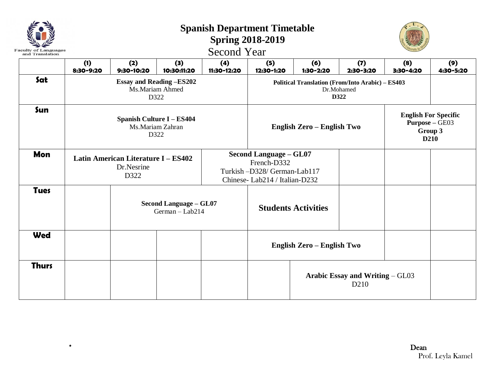| <b>Faculty of Languages</b><br>and Translation |                  |                                                           |                                                              |                                                                                                              |                                                         |                            |                                                                                     |                  |                  |
|------------------------------------------------|------------------|-----------------------------------------------------------|--------------------------------------------------------------|--------------------------------------------------------------------------------------------------------------|---------------------------------------------------------|----------------------------|-------------------------------------------------------------------------------------|------------------|------------------|
|                                                | (1)<br>8:30-9:20 | (2)<br>9:30-10:20                                         | (3)<br>10:30:11:20                                           | (4)<br>11:30-12:20                                                                                           | (5)<br>12:30-1:20                                       | (6)<br>1:30-2:20           | (7)<br>2:30-3:20                                                                    | (8)<br>3:30-4:20 | (9)<br>4:30-5:20 |
| Sat                                            |                  |                                                           | <b>Essay and Reading -ES202</b><br>Ms.Mariam Ahmed<br>D322   |                                                                                                              | <b>Political Translation (From/Into Arabic) - ES403</b> |                            |                                                                                     |                  |                  |
| Sun                                            |                  |                                                           | <b>Spanish Culture I - ES404</b><br>Ms.Mariam Zahran<br>D322 |                                                                                                              |                                                         | English Zero - English Two | <b>English For Specific</b><br><b>Purpose - GE03</b><br>Group 3<br>D <sub>210</sub> |                  |                  |
| <b>Mon</b>                                     |                  | Latin American Literature I - ES402<br>Dr.Nesrine<br>D322 |                                                              | <b>Second Language - GL07</b><br>French-D332<br>Turkish-D328/ German-Lab117<br>Chinese-Lab214 / Italian-D232 |                                                         |                            |                                                                                     |                  |                  |
| <b>Tues</b>                                    |                  |                                                           | <b>Second Language - GL07</b><br>German - Lab214             | <b>Students Activities</b>                                                                                   |                                                         |                            |                                                                                     |                  |                  |
| <b>Wed</b>                                     |                  |                                                           |                                                              |                                                                                                              | English Zero - English Two                              |                            |                                                                                     |                  |                  |
| <b>Thurs</b>                                   |                  |                                                           |                                                              |                                                                                                              |                                                         |                            | Arabic Essay and Writing – GL03<br>D <sub>210</sub>                                 |                  |                  |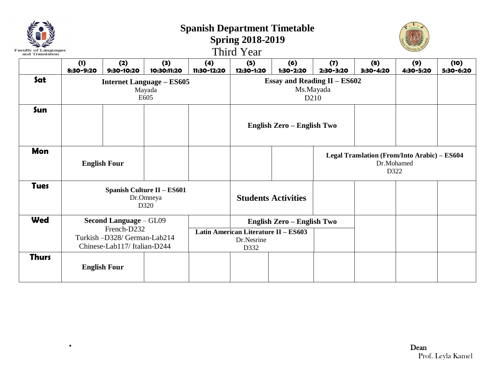| Faculty of L<br>and Translation |                  | <b>Spanish Department Timetable</b><br><b>Spring 2018-2019</b><br>Third Year                               |                                                    |                    |                                                            |                                                                      |                  |                                                                    |                  |                   |  |  |
|---------------------------------|------------------|------------------------------------------------------------------------------------------------------------|----------------------------------------------------|--------------------|------------------------------------------------------------|----------------------------------------------------------------------|------------------|--------------------------------------------------------------------|------------------|-------------------|--|--|
|                                 | (1)<br>8:30-9:20 | (2)<br>9:30-10:20                                                                                          | (3)<br>10:30:11:20                                 | (4)<br>11:30-12:20 | (5)<br>12:30-1:20                                          | (6)<br>1:30-2:20                                                     | (7)<br>2:30-3:20 | (8)<br>3:30-4:20                                                   | (9)<br>4:30-5:20 | (10)<br>5:30-6:20 |  |  |
| Sat                             |                  |                                                                                                            | <b>Internet Language - ES605</b><br>Mayada<br>E605 |                    |                                                            | <b>Essay and Reading II - ES602</b><br>Ms.Mayada<br>D <sub>210</sub> |                  |                                                                    |                  |                   |  |  |
| Sun                             |                  |                                                                                                            |                                                    |                    |                                                            | English Zero - English Two                                           |                  |                                                                    |                  |                   |  |  |
| <b>Mon</b>                      |                  | <b>English Four</b>                                                                                        |                                                    |                    |                                                            |                                                                      |                  | Legal Translation (From/Into Arabic) - ES604<br>Dr.Mohamed<br>D322 |                  |                   |  |  |
| <b>Tues</b>                     |                  |                                                                                                            | Spanish Culture II - ES601<br>Dr.Omneya<br>D320    |                    |                                                            | <b>Students Activities</b>                                           |                  |                                                                    |                  |                   |  |  |
| Wed                             |                  | <b>Second Language - GL09</b><br>French-D232<br>Turkish-D328/ German-Lab214<br>Chinese-Lab117/Italian-D244 |                                                    |                    | Latin American Literature II - ES603<br>Dr.Nesrine<br>D332 | English Zero - English Two                                           |                  |                                                                    |                  |                   |  |  |
| <b>Thurs</b>                    |                  | <b>English Four</b>                                                                                        |                                                    |                    |                                                            |                                                                      |                  |                                                                    |                  |                   |  |  |